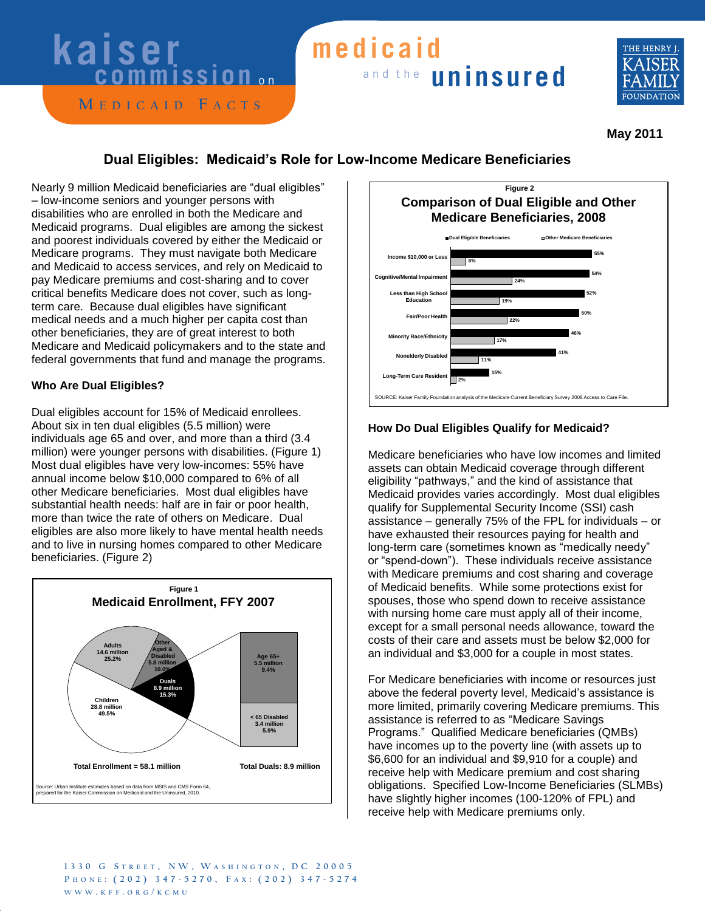# **kaiser**

#### **M e d i c a i d F a c t s**

### and the **uninsured medicaid**



 **May 2011** 

#### **Dual Eligibles: Medicaid's Role for Low-Income Medicare Beneficiaries**

Nearly 9 million Medicaid beneficiaries are "dual eligibles" – low-income seniors and younger persons with disabilities who are enrolled in both the Medicare and Medicaid programs. Dual eligibles are among the sickest and poorest individuals covered by either the Medicaid or Medicare programs. They must navigate both Medicare and Medicaid to access services, and rely on Medicaid to pay Medicare premiums and cost-sharing and to cover critical benefits Medicare does not cover, such as longterm care. Because dual eligibles have significant medical needs and a much higher per capita cost than other beneficiaries, they are of great interest to both Medicare and Medicaid policymakers and to the state and federal governments that fund and manage the programs.

#### **Who Are Dual Eligibles?**

Dual eligibles account for 15% of Medicaid enrollees. About six in ten dual eligibles (5.5 million) were individuals age 65 and over, and more than a third (3.4 million) were younger persons with disabilities. (Figure 1) Most dual eligibles have very low-incomes: 55% have annual income below \$10,000 compared to 6% of all other Medicare beneficiaries. Most dual eligibles have substantial health needs: half are in fair or poor health, more than twice the rate of others on Medicare. Dual eligibles are also more likely to have mental health needs and to live in nursing homes compared to other Medicare beneficiaries. (Figure 2)





#### **How Do Dual Eligibles Qualify for Medicaid?**

Medicare beneficiaries who have low incomes and limited assets can obtain Medicaid coverage through different eligibility "pathways," and the kind of assistance that Medicaid provides varies accordingly. Most dual eligibles qualify for Supplemental Security Income (SSI) cash assistance – generally 75% of the FPL for individuals – or have exhausted their resources paying for health and long-term care (sometimes known as "medically needy" or "spend-down"). These individuals receive assistance with Medicare premiums and cost sharing and coverage of Medicaid benefits. While some protections exist for spouses, those who spend down to receive assistance with nursing home care must apply all of their income, except for a small personal needs allowance, toward the costs of their care and assets must be below \$2,000 for an individual and \$3,000 for a couple in most states.

For Medicare beneficiaries with income or resources just above the federal poverty level, Medicaid's assistance is more limited, primarily covering Medicare premiums. This assistance is referred to as "Medicare Savings Programs.‖ Qualified Medicare beneficiaries (QMBs) have incomes up to the poverty line (with assets up to \$6,600 for an individual and \$9,910 for a couple) and receive help with Medicare premium and cost sharing obligations. Specified Low-Income Beneficiaries (SLMBs) have slightly higher incomes (100-120% of FPL) and receive help with Medicare premiums only.